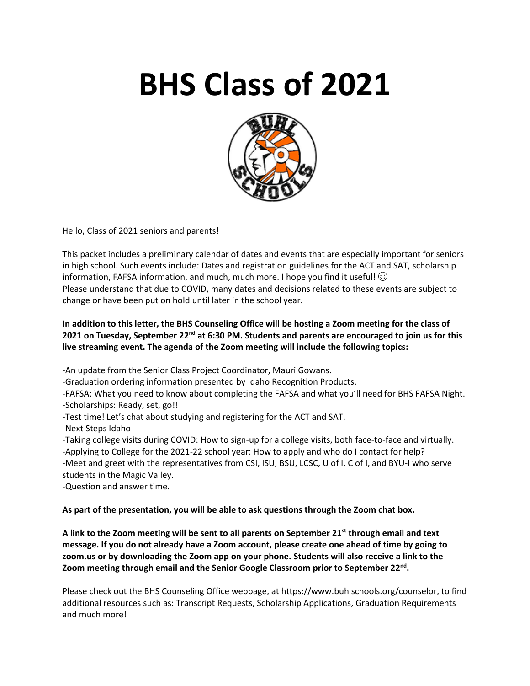# **BHS Class of 2021**



Hello, Class of 2021 seniors and parents!

This packet includes a preliminary calendar of dates and events that are especially important for seniors in high school. Such events include: Dates and registration guidelines for the ACT and SAT, scholarship information, FAFSA information, and much, much more. I hope you find it useful!  $\odot$ Please understand that due to COVID, many dates and decisions related to these events are subject to change or have been put on hold until later in the school year.

# **In addition to this letter, the BHS Counseling Office will be hosting a Zoom meeting for the class of 2021 on Tuesday, September 22nd at 6:30 PM. Students and parents are encouraged to join us for this live streaming event. The agenda of the Zoom meeting will include the following topics:**

-An update from the Senior Class Project Coordinator, Mauri Gowans.

-Graduation ordering information presented by Idaho Recognition Products.

-FAFSA: What you need to know about completing the FAFSA and what you'll need for BHS FAFSA Night. -Scholarships: Ready, set, go!!

- -Test time! Let's chat about studying and registering for the ACT and SAT.
- -Next Steps Idaho

-Taking college visits during COVID: How to sign-up for a college visits, both face-to-face and virtually. -Applying to College for the 2021-22 school year: How to apply and who do I contact for help? -Meet and greet with the representatives from CSI, ISU, BSU, LCSC, U of I, C of I, and BYU-I who serve students in the Magic Valley.

-Question and answer time.

## **As part of the presentation, you will be able to ask questions through the Zoom chat box.**

**A link to the Zoom meeting will be sent to all parents on September 21st through email and text message. If you do not already have a Zoom account, please create one ahead of time by going to zoom.us or by downloading the Zoom app on your phone. Students will also receive a link to the Zoom meeting through email and the Senior Google Classroom prior to September 22nd .**

Please check out the BHS Counseling Office webpage, at https://www.buhlschools.org/counselor, to find additional resources such as: Transcript Requests, Scholarship Applications, Graduation Requirements and much more!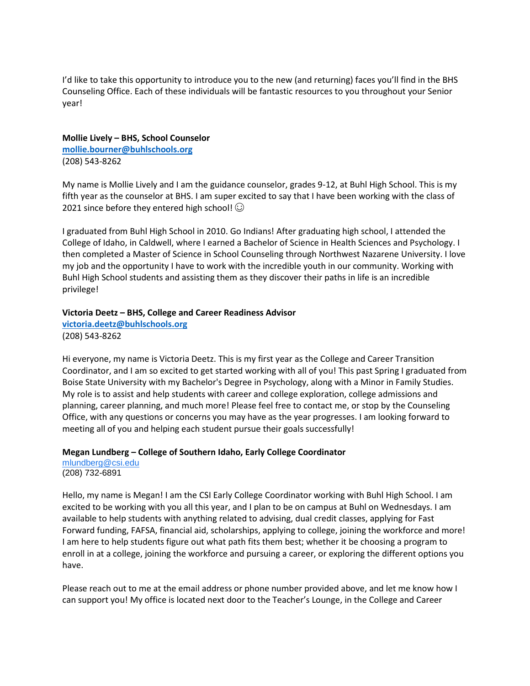I'd like to take this opportunity to introduce you to the new (and returning) faces you'll find in the BHS Counseling Office. Each of these individuals will be fantastic resources to you throughout your Senior year!

#### **Mollie Lively – BHS, School Counselor**

**[mollie.bourner@buhlschools.org](mailto:mollie.bourner@buhlschools.org)** (208) 543-8262

My name is Mollie Lively and I am the guidance counselor, grades 9-12, at Buhl High School. This is my fifth year as the counselor at BHS. I am super excited to say that I have been working with the class of 2021 since before they entered high school!  $\odot$ 

I graduated from Buhl High School in 2010. Go Indians! After graduating high school, I attended the College of Idaho, in Caldwell, where I earned a Bachelor of Science in Health Sciences and Psychology. I then completed a Master of Science in School Counseling through Northwest Nazarene University. I love my job and the opportunity I have to work with the incredible youth in our community. Working with Buhl High School students and assisting them as they discover their paths in life is an incredible privilege!

#### **Victoria Deetz – BHS, College and Career Readiness Advisor**

**[victoria.deetz@buhlschools.org](mailto:victoria.deetz@buhlschools.org)** (208) 543-8262

Hi everyone, my name is Victoria Deetz. This is my first year as the College and Career Transition Coordinator, and I am so excited to get started working with all of you! This past Spring I graduated from Boise State University with my Bachelor's Degree in Psychology, along with a Minor in Family Studies. My role is to assist and help students with career and college exploration, college admissions and planning, career planning, and much more! Please feel free to contact me, or stop by the Counseling Office, with any questions or concerns you may have as the year progresses. I am looking forward to meeting all of you and helping each student pursue their goals successfully!

## **Megan Lundberg – College of Southern Idaho, Early College Coordinator**

[mlundberg@csi.edu](mailto:mlundberg@csi.edu) (208) 732-6891

Hello, my name is Megan! I am the CSI Early College Coordinator working with Buhl High School. I am excited to be working with you all this year, and I plan to be on campus at Buhl on Wednesdays. I am available to help students with anything related to advising, dual credit classes, applying for Fast Forward funding, FAFSA, financial aid, scholarships, applying to college, joining the workforce and more! I am here to help students figure out what path fits them best; whether it be choosing a program to enroll in at a college, joining the workforce and pursuing a career, or exploring the different options you have.

Please reach out to me at the email address or phone number provided above, and let me know how I can support you! My office is located next door to the Teacher's Lounge, in the College and Career